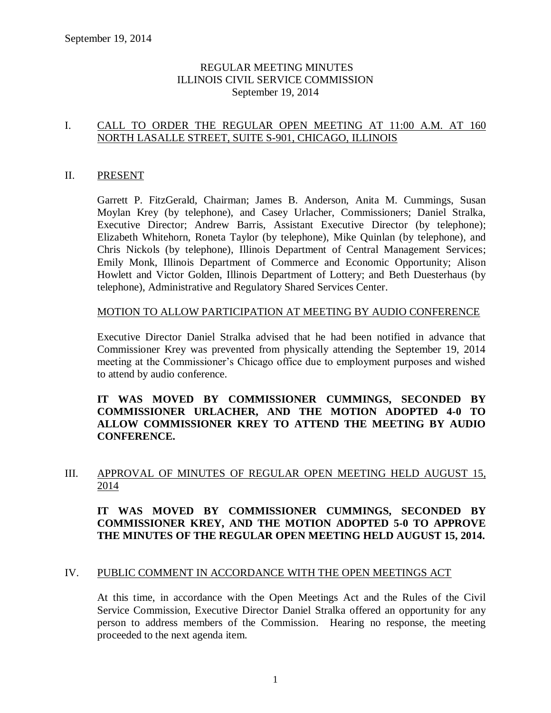### REGULAR MEETING MINUTES ILLINOIS CIVIL SERVICE COMMISSION September 19, 2014

### I. CALL TO ORDER THE REGULAR OPEN MEETING AT 11:00 A.M. AT 160 NORTH LASALLE STREET, SUITE S-901, CHICAGO, ILLINOIS

### II. PRESENT

Garrett P. FitzGerald, Chairman; James B. Anderson, Anita M. Cummings, Susan Moylan Krey (by telephone), and Casey Urlacher, Commissioners; Daniel Stralka, Executive Director; Andrew Barris, Assistant Executive Director (by telephone); Elizabeth Whitehorn, Roneta Taylor (by telephone), Mike Quinlan (by telephone), and Chris Nickols (by telephone), Illinois Department of Central Management Services; Emily Monk, Illinois Department of Commerce and Economic Opportunity; Alison Howlett and Victor Golden, Illinois Department of Lottery; and Beth Duesterhaus (by telephone), Administrative and Regulatory Shared Services Center.

### MOTION TO ALLOW PARTICIPATION AT MEETING BY AUDIO CONFERENCE

Executive Director Daniel Stralka advised that he had been notified in advance that Commissioner Krey was prevented from physically attending the September 19, 2014 meeting at the Commissioner's Chicago office due to employment purposes and wished to attend by audio conference.

### **IT WAS MOVED BY COMMISSIONER CUMMINGS, SECONDED BY COMMISSIONER URLACHER, AND THE MOTION ADOPTED 4-0 TO ALLOW COMMISSIONER KREY TO ATTEND THE MEETING BY AUDIO CONFERENCE.**

### III. APPROVAL OF MINUTES OF REGULAR OPEN MEETING HELD AUGUST 15, 2014

### **IT WAS MOVED BY COMMISSIONER CUMMINGS, SECONDED BY COMMISSIONER KREY, AND THE MOTION ADOPTED 5-0 TO APPROVE THE MINUTES OF THE REGULAR OPEN MEETING HELD AUGUST 15, 2014.**

### IV. PUBLIC COMMENT IN ACCORDANCE WITH THE OPEN MEETINGS ACT

At this time, in accordance with the Open Meetings Act and the Rules of the Civil Service Commission, Executive Director Daniel Stralka offered an opportunity for any person to address members of the Commission. Hearing no response, the meeting proceeded to the next agenda item.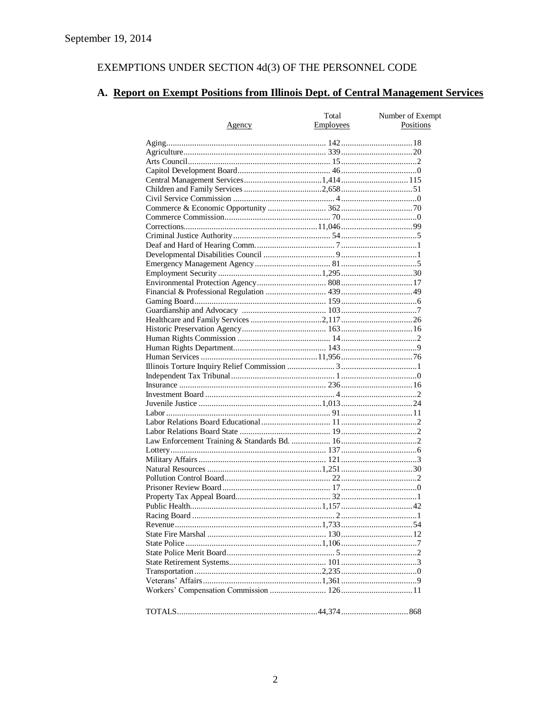# EXEMPTIONS UNDER SECTION  $4d(3)$  OF THE PERSONNEL CODE

# A. Report on Exempt Positions from Illinois Dept. of Central Management Services

|        | Total     | Number of Exempt |
|--------|-----------|------------------|
| Agency | Employees | Positions        |
|        |           |                  |
|        |           |                  |
|        |           |                  |
|        |           |                  |
|        |           |                  |
|        |           |                  |
|        |           |                  |
|        |           |                  |
|        |           |                  |
|        |           |                  |
|        |           |                  |
|        |           |                  |
|        |           |                  |
|        |           |                  |
|        |           |                  |
|        |           |                  |
|        |           |                  |
|        |           |                  |
|        |           |                  |
|        |           |                  |
|        |           |                  |
|        |           |                  |
|        |           |                  |
|        |           |                  |
|        |           |                  |
|        |           |                  |
|        |           |                  |
|        |           |                  |
|        |           |                  |
|        |           |                  |
|        |           |                  |
|        |           |                  |
|        |           |                  |
|        |           |                  |
|        |           |                  |
|        |           |                  |
|        |           |                  |
|        |           |                  |
|        |           |                  |
|        |           |                  |
|        |           |                  |
|        |           |                  |
|        |           |                  |
|        |           |                  |
|        |           |                  |
|        |           |                  |
|        |           |                  |
|        |           |                  |
|        |           |                  |
|        |           |                  |
|        |           |                  |
|        |           |                  |
|        |           |                  |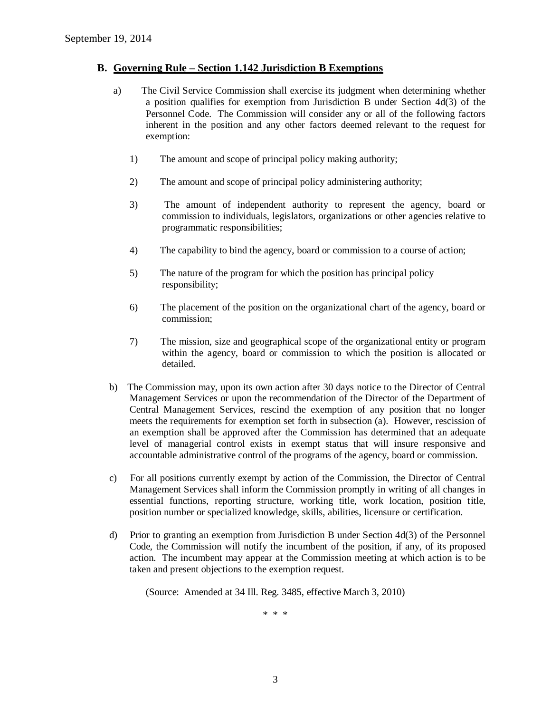#### **B. Governing Rule – Section 1.142 Jurisdiction B Exemptions**

- a) The Civil Service Commission shall exercise its judgment when determining whether a position qualifies for exemption from Jurisdiction B under Section 4d(3) of the Personnel Code. The Commission will consider any or all of the following factors inherent in the position and any other factors deemed relevant to the request for exemption:
	- 1) The amount and scope of principal policy making authority;
	- 2) The amount and scope of principal policy administering authority;
	- 3) The amount of independent authority to represent the agency, board or commission to individuals, legislators, organizations or other agencies relative to programmatic responsibilities;
	- 4) The capability to bind the agency, board or commission to a course of action;
	- 5) The nature of the program for which the position has principal policy responsibility;
	- 6) The placement of the position on the organizational chart of the agency, board or commission;
	- 7) The mission, size and geographical scope of the organizational entity or program within the agency, board or commission to which the position is allocated or detailed.
- b) The Commission may, upon its own action after 30 days notice to the Director of Central Management Services or upon the recommendation of the Director of the Department of Central Management Services, rescind the exemption of any position that no longer meets the requirements for exemption set forth in subsection (a). However, rescission of an exemption shall be approved after the Commission has determined that an adequate level of managerial control exists in exempt status that will insure responsive and accountable administrative control of the programs of the agency, board or commission.
- c) For all positions currently exempt by action of the Commission, the Director of Central Management Services shall inform the Commission promptly in writing of all changes in essential functions, reporting structure, working title, work location, position title, position number or specialized knowledge, skills, abilities, licensure or certification.
- d) Prior to granting an exemption from Jurisdiction B under Section 4d(3) of the Personnel Code, the Commission will notify the incumbent of the position, if any, of its proposed action. The incumbent may appear at the Commission meeting at which action is to be taken and present objections to the exemption request.

(Source: Amended at 34 Ill. Reg. 3485, effective March 3, 2010)

\* \* \*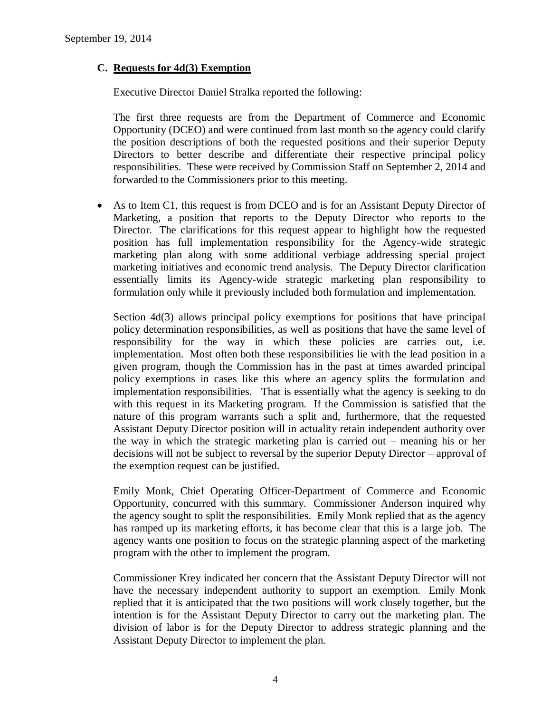### **C. Requests for 4d(3) Exemption**

Executive Director Daniel Stralka reported the following:

The first three requests are from the Department of Commerce and Economic Opportunity (DCEO) and were continued from last month so the agency could clarify the position descriptions of both the requested positions and their superior Deputy Directors to better describe and differentiate their respective principal policy responsibilities. These were received by Commission Staff on September 2, 2014 and forwarded to the Commissioners prior to this meeting.

 As to Item C1, this request is from DCEO and is for an Assistant Deputy Director of Marketing, a position that reports to the Deputy Director who reports to the Director. The clarifications for this request appear to highlight how the requested position has full implementation responsibility for the Agency-wide strategic marketing plan along with some additional verbiage addressing special project marketing initiatives and economic trend analysis. The Deputy Director clarification essentially limits its Agency-wide strategic marketing plan responsibility to formulation only while it previously included both formulation and implementation.

Section 4d(3) allows principal policy exemptions for positions that have principal policy determination responsibilities, as well as positions that have the same level of responsibility for the way in which these policies are carries out, i.e. implementation. Most often both these responsibilities lie with the lead position in a given program, though the Commission has in the past at times awarded principal policy exemptions in cases like this where an agency splits the formulation and implementation responsibilities. That is essentially what the agency is seeking to do with this request in its Marketing program. If the Commission is satisfied that the nature of this program warrants such a split and, furthermore, that the requested Assistant Deputy Director position will in actuality retain independent authority over the way in which the strategic marketing plan is carried out – meaning his or her decisions will not be subject to reversal by the superior Deputy Director – approval of the exemption request can be justified.

Emily Monk, Chief Operating Officer-Department of Commerce and Economic Opportunity, concurred with this summary. Commissioner Anderson inquired why the agency sought to split the responsibilities. Emily Monk replied that as the agency has ramped up its marketing efforts, it has become clear that this is a large job. The agency wants one position to focus on the strategic planning aspect of the marketing program with the other to implement the program.

Commissioner Krey indicated her concern that the Assistant Deputy Director will not have the necessary independent authority to support an exemption. Emily Monk replied that it is anticipated that the two positions will work closely together, but the intention is for the Assistant Deputy Director to carry out the marketing plan. The division of labor is for the Deputy Director to address strategic planning and the Assistant Deputy Director to implement the plan.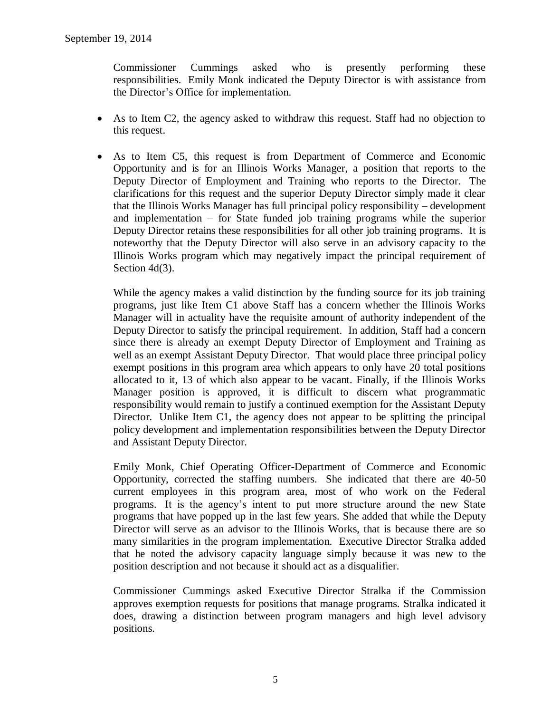Commissioner Cummings asked who is presently performing these responsibilities. Emily Monk indicated the Deputy Director is with assistance from the Director's Office for implementation.

- As to Item C2, the agency asked to withdraw this request. Staff had no objection to this request.
- As to Item C5, this request is from Department of Commerce and Economic Opportunity and is for an Illinois Works Manager, a position that reports to the Deputy Director of Employment and Training who reports to the Director. The clarifications for this request and the superior Deputy Director simply made it clear that the Illinois Works Manager has full principal policy responsibility – development and implementation – for State funded job training programs while the superior Deputy Director retains these responsibilities for all other job training programs. It is noteworthy that the Deputy Director will also serve in an advisory capacity to the Illinois Works program which may negatively impact the principal requirement of Section 4d(3).

While the agency makes a valid distinction by the funding source for its job training programs, just like Item C1 above Staff has a concern whether the Illinois Works Manager will in actuality have the requisite amount of authority independent of the Deputy Director to satisfy the principal requirement. In addition, Staff had a concern since there is already an exempt Deputy Director of Employment and Training as well as an exempt Assistant Deputy Director. That would place three principal policy exempt positions in this program area which appears to only have 20 total positions allocated to it, 13 of which also appear to be vacant. Finally, if the Illinois Works Manager position is approved, it is difficult to discern what programmatic responsibility would remain to justify a continued exemption for the Assistant Deputy Director. Unlike Item C1, the agency does not appear to be splitting the principal policy development and implementation responsibilities between the Deputy Director and Assistant Deputy Director.

Emily Monk, Chief Operating Officer-Department of Commerce and Economic Opportunity, corrected the staffing numbers. She indicated that there are 40-50 current employees in this program area, most of who work on the Federal programs. It is the agency's intent to put more structure around the new State programs that have popped up in the last few years. She added that while the Deputy Director will serve as an advisor to the Illinois Works, that is because there are so many similarities in the program implementation. Executive Director Stralka added that he noted the advisory capacity language simply because it was new to the position description and not because it should act as a disqualifier.

Commissioner Cummings asked Executive Director Stralka if the Commission approves exemption requests for positions that manage programs. Stralka indicated it does, drawing a distinction between program managers and high level advisory positions.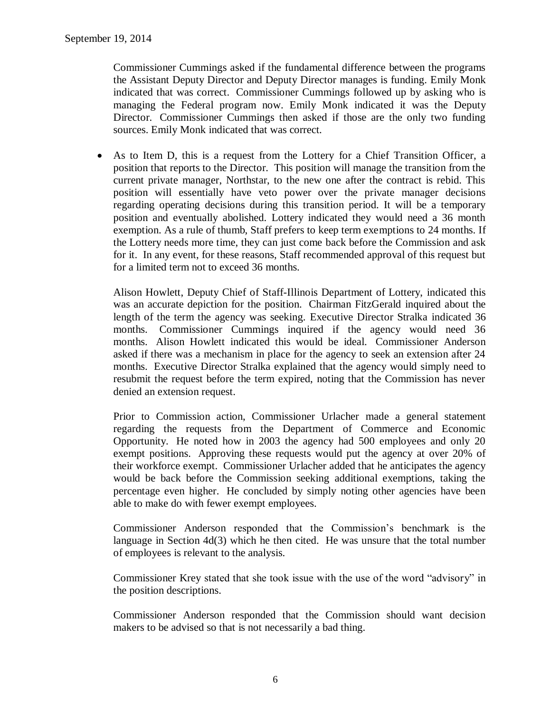Commissioner Cummings asked if the fundamental difference between the programs the Assistant Deputy Director and Deputy Director manages is funding. Emily Monk indicated that was correct. Commissioner Cummings followed up by asking who is managing the Federal program now. Emily Monk indicated it was the Deputy Director. Commissioner Cummings then asked if those are the only two funding sources. Emily Monk indicated that was correct.

 As to Item D, this is a request from the Lottery for a Chief Transition Officer, a position that reports to the Director. This position will manage the transition from the current private manager, Northstar, to the new one after the contract is rebid. This position will essentially have veto power over the private manager decisions regarding operating decisions during this transition period. It will be a temporary position and eventually abolished. Lottery indicated they would need a 36 month exemption. As a rule of thumb, Staff prefers to keep term exemptions to 24 months. If the Lottery needs more time, they can just come back before the Commission and ask for it. In any event, for these reasons, Staff recommended approval of this request but for a limited term not to exceed 36 months.

Alison Howlett, Deputy Chief of Staff-Illinois Department of Lottery, indicated this was an accurate depiction for the position. Chairman FitzGerald inquired about the length of the term the agency was seeking. Executive Director Stralka indicated 36 months. Commissioner Cummings inquired if the agency would need 36 months. Alison Howlett indicated this would be ideal. Commissioner Anderson asked if there was a mechanism in place for the agency to seek an extension after 24 months. Executive Director Stralka explained that the agency would simply need to resubmit the request before the term expired, noting that the Commission has never denied an extension request.

Prior to Commission action, Commissioner Urlacher made a general statement regarding the requests from the Department of Commerce and Economic Opportunity. He noted how in 2003 the agency had 500 employees and only 20 exempt positions. Approving these requests would put the agency at over 20% of their workforce exempt. Commissioner Urlacher added that he anticipates the agency would be back before the Commission seeking additional exemptions, taking the percentage even higher. He concluded by simply noting other agencies have been able to make do with fewer exempt employees.

Commissioner Anderson responded that the Commission's benchmark is the language in Section 4d(3) which he then cited. He was unsure that the total number of employees is relevant to the analysis.

Commissioner Krey stated that she took issue with the use of the word "advisory" in the position descriptions.

Commissioner Anderson responded that the Commission should want decision makers to be advised so that is not necessarily a bad thing.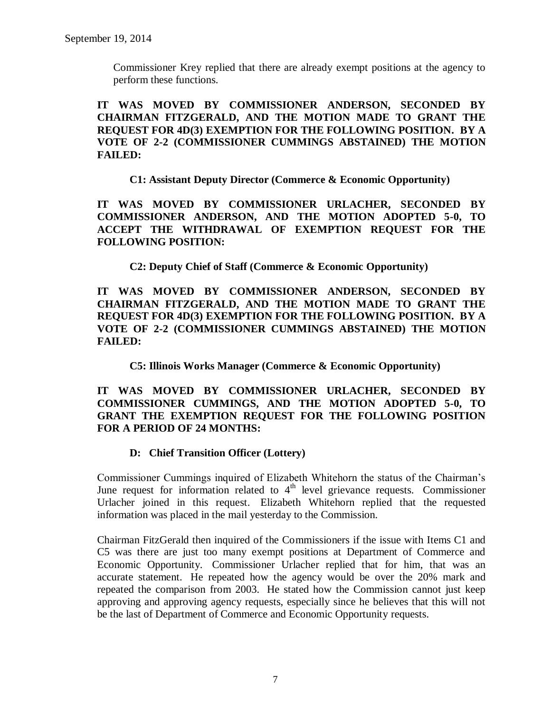Commissioner Krey replied that there are already exempt positions at the agency to perform these functions.

**IT WAS MOVED BY COMMISSIONER ANDERSON, SECONDED BY CHAIRMAN FITZGERALD, AND THE MOTION MADE TO GRANT THE REQUEST FOR 4D(3) EXEMPTION FOR THE FOLLOWING POSITION. BY A VOTE OF 2-2 (COMMISSIONER CUMMINGS ABSTAINED) THE MOTION FAILED:**

**C1: Assistant Deputy Director (Commerce & Economic Opportunity)**

**IT WAS MOVED BY COMMISSIONER URLACHER, SECONDED BY COMMISSIONER ANDERSON, AND THE MOTION ADOPTED 5-0, TO ACCEPT THE WITHDRAWAL OF EXEMPTION REQUEST FOR THE FOLLOWING POSITION:**

**C2: Deputy Chief of Staff (Commerce & Economic Opportunity)**

**IT WAS MOVED BY COMMISSIONER ANDERSON, SECONDED BY CHAIRMAN FITZGERALD, AND THE MOTION MADE TO GRANT THE REQUEST FOR 4D(3) EXEMPTION FOR THE FOLLOWING POSITION. BY A VOTE OF 2-2 (COMMISSIONER CUMMINGS ABSTAINED) THE MOTION FAILED:**

**C5: Illinois Works Manager (Commerce & Economic Opportunity)**

**IT WAS MOVED BY COMMISSIONER URLACHER, SECONDED BY COMMISSIONER CUMMINGS, AND THE MOTION ADOPTED 5-0, TO GRANT THE EXEMPTION REQUEST FOR THE FOLLOWING POSITION FOR A PERIOD OF 24 MONTHS:**

### **D: Chief Transition Officer (Lottery)**

Commissioner Cummings inquired of Elizabeth Whitehorn the status of the Chairman's June request for information related to  $4<sup>th</sup>$  level grievance requests. Commissioner Urlacher joined in this request. Elizabeth Whitehorn replied that the requested information was placed in the mail yesterday to the Commission.

Chairman FitzGerald then inquired of the Commissioners if the issue with Items C1 and C5 was there are just too many exempt positions at Department of Commerce and Economic Opportunity. Commissioner Urlacher replied that for him, that was an accurate statement. He repeated how the agency would be over the 20% mark and repeated the comparison from 2003. He stated how the Commission cannot just keep approving and approving agency requests, especially since he believes that this will not be the last of Department of Commerce and Economic Opportunity requests.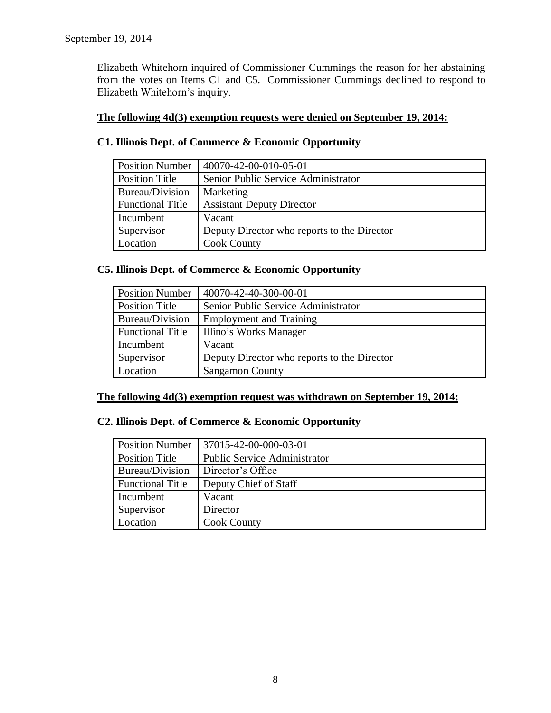Elizabeth Whitehorn inquired of Commissioner Cummings the reason for her abstaining from the votes on Items C1 and C5. Commissioner Cummings declined to respond to Elizabeth Whitehorn's inquiry.

### **The following 4d(3) exemption requests were denied on September 19, 2014:**

| <b>Position Number</b>  | 40070-42-00-010-05-01                       |
|-------------------------|---------------------------------------------|
| <b>Position Title</b>   | Senior Public Service Administrator         |
| Bureau/Division         | Marketing                                   |
| <b>Functional Title</b> | <b>Assistant Deputy Director</b>            |
| Incumbent               | Vacant                                      |
| Supervisor              | Deputy Director who reports to the Director |
| Location                | <b>Cook County</b>                          |

## **C1. Illinois Dept. of Commerce & Economic Opportunity**

### **C5. Illinois Dept. of Commerce & Economic Opportunity**

| <b>Position Number</b>  | 40070-42-40-300-00-01                       |
|-------------------------|---------------------------------------------|
| <b>Position Title</b>   | Senior Public Service Administrator         |
| Bureau/Division         | <b>Employment and Training</b>              |
| <b>Functional Title</b> | Illinois Works Manager                      |
| Incumbent               | Vacant                                      |
| Supervisor              | Deputy Director who reports to the Director |
| Location                | <b>Sangamon County</b>                      |

### **The following 4d(3) exemption request was withdrawn on September 19, 2014:**

### **C2. Illinois Dept. of Commerce & Economic Opportunity**

| <b>Position Number</b>  | 1 37015-42-00-000-03-01             |
|-------------------------|-------------------------------------|
| <b>Position Title</b>   | <b>Public Service Administrator</b> |
| Bureau/Division         | Director's Office                   |
| <b>Functional Title</b> | Deputy Chief of Staff               |
| Incumbent               | Vacant                              |
| Supervisor              | Director                            |
| Location                | <b>Cook County</b>                  |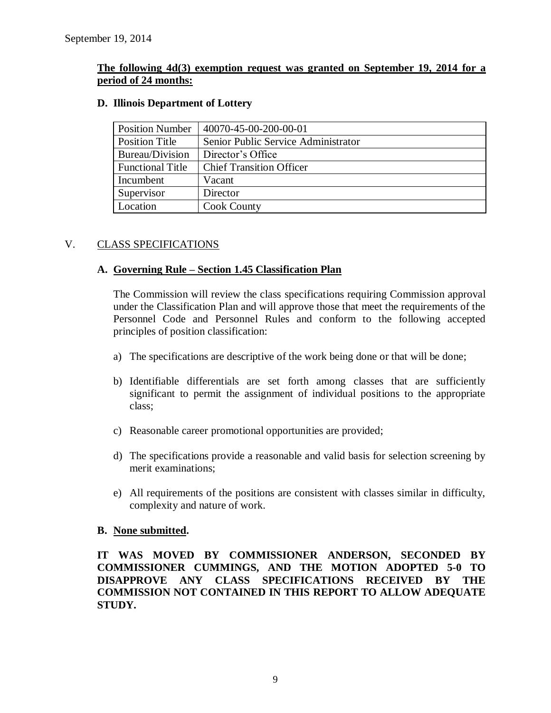### **The following 4d(3) exemption request was granted on September 19, 2014 for a period of 24 months:**

| <b>Position Number</b>  | 40070-45-00-200-00-01               |
|-------------------------|-------------------------------------|
| <b>Position Title</b>   | Senior Public Service Administrator |
| Bureau/Division         | Director's Office                   |
| <b>Functional Title</b> | <b>Chief Transition Officer</b>     |
| Incumbent               | Vacant                              |
| Supervisor              | Director                            |
| Location                | <b>Cook County</b>                  |

### **D. Illinois Department of Lottery**

### V. CLASS SPECIFICATIONS

### **A. Governing Rule – Section 1.45 Classification Plan**

The Commission will review the class specifications requiring Commission approval under the Classification Plan and will approve those that meet the requirements of the Personnel Code and Personnel Rules and conform to the following accepted principles of position classification:

- a) The specifications are descriptive of the work being done or that will be done;
- b) Identifiable differentials are set forth among classes that are sufficiently significant to permit the assignment of individual positions to the appropriate class;
- c) Reasonable career promotional opportunities are provided;
- d) The specifications provide a reasonable and valid basis for selection screening by merit examinations;
- e) All requirements of the positions are consistent with classes similar in difficulty, complexity and nature of work.

### **B. None submitted.**

**IT WAS MOVED BY COMMISSIONER ANDERSON, SECONDED BY COMMISSIONER CUMMINGS, AND THE MOTION ADOPTED 5-0 TO DISAPPROVE ANY CLASS SPECIFICATIONS RECEIVED BY THE COMMISSION NOT CONTAINED IN THIS REPORT TO ALLOW ADEQUATE STUDY.**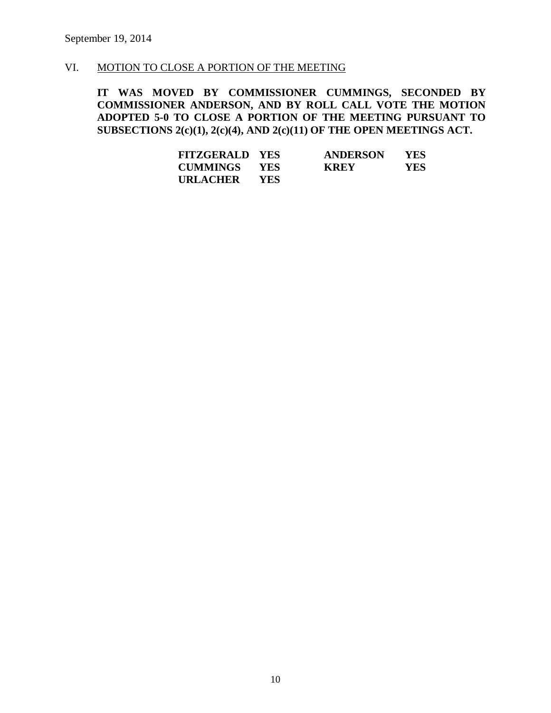### VI. MOTION TO CLOSE A PORTION OF THE MEETING

**IT WAS MOVED BY COMMISSIONER CUMMINGS, SECONDED BY COMMISSIONER ANDERSON, AND BY ROLL CALL VOTE THE MOTION ADOPTED 5-0 TO CLOSE A PORTION OF THE MEETING PURSUANT TO SUBSECTIONS 2(c)(1), 2(c)(4), AND 2(c)(11) OF THE OPEN MEETINGS ACT.**

| <b>FITZGERALD YES</b> |            | <b>ANDERSON</b> | YES        |
|-----------------------|------------|-----------------|------------|
| <b>CUMMINGS</b>       | <b>YES</b> | <b>KREY</b>     | <b>YES</b> |
| URLACHER              | <b>YES</b> |                 |            |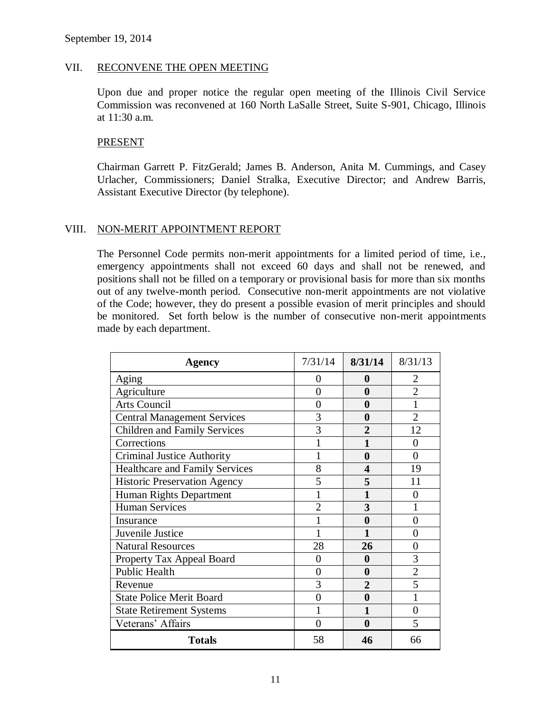### VII. RECONVENE THE OPEN MEETING

Upon due and proper notice the regular open meeting of the Illinois Civil Service Commission was reconvened at 160 North LaSalle Street, Suite S-901, Chicago, Illinois at 11:30 a.m.

### **PRESENT**

Chairman Garrett P. FitzGerald; James B. Anderson, Anita M. Cummings, and Casey Urlacher, Commissioners; Daniel Stralka, Executive Director; and Andrew Barris, Assistant Executive Director (by telephone).

### VIII. NON-MERIT APPOINTMENT REPORT

The Personnel Code permits non-merit appointments for a limited period of time, i.e., emergency appointments shall not exceed 60 days and shall not be renewed, and positions shall not be filled on a temporary or provisional basis for more than six months out of any twelve-month period. Consecutive non-merit appointments are not violative of the Code; however, they do present a possible evasion of merit principles and should be monitored. Set forth below is the number of consecutive non-merit appointments made by each department.

| Agency                              | 7/31/14        | 8/31/14          | 8/31/13        |
|-------------------------------------|----------------|------------------|----------------|
| Aging                               | 0              | $\boldsymbol{0}$ | 2              |
| Agriculture                         | 0              | 0                | $\overline{2}$ |
| <b>Arts Council</b>                 | 0              | 0                | 1              |
| <b>Central Management Services</b>  | 3              | 0                | $\overline{2}$ |
| <b>Children and Family Services</b> | 3              | 2                | 12             |
| Corrections                         |                |                  | 0              |
| <b>Criminal Justice Authority</b>   |                | $\bf{0}$         | $\theta$       |
| Healthcare and Family Services      | 8              | 4                | 19             |
| <b>Historic Preservation Agency</b> | 5              | 5                | 11             |
| Human Rights Department             |                |                  | 0              |
| <b>Human Services</b>               | $\overline{2}$ | 3                |                |
| Insurance                           |                | 0                | 0              |
| Juvenile Justice                    |                | 1                | 0              |
| <b>Natural Resources</b>            | 28             | 26               | 0              |
| Property Tax Appeal Board           | 0              | 0                | 3              |
| <b>Public Health</b>                | 0              | $\bf{0}$         | $\overline{2}$ |
| Revenue                             | 3              | $\overline{2}$   | 5              |
| <b>State Police Merit Board</b>     | 0              | $\bf{0}$         |                |
| <b>State Retirement Systems</b>     |                | 1                | 0              |
| Veterans' Affairs                   | 0              | $\mathbf 0$      | 5              |
| <b>Totals</b>                       | 58             | 46               | 66             |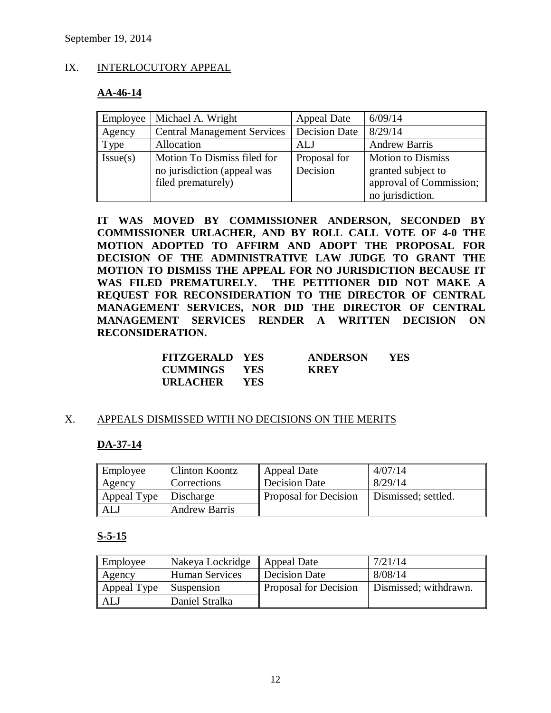### IX. INTERLOCUTORY APPEAL

### **AA-46-14**

| Employee | Michael A. Wright                                                                | <b>Appeal Date</b>       | 6/09/14                                                                   |
|----------|----------------------------------------------------------------------------------|--------------------------|---------------------------------------------------------------------------|
| Agency   | <b>Central Management Services</b>                                               | <b>Decision Date</b>     | 8/29/14                                                                   |
| Type     | Allocation                                                                       | ALJ                      | <b>Andrew Barris</b>                                                      |
| Issue(s) | Motion To Dismiss filed for<br>no jurisdiction (appeal was<br>filed prematurely) | Proposal for<br>Decision | <b>Motion to Dismiss</b><br>granted subject to<br>approval of Commission; |
|          |                                                                                  |                          | no jurisdiction.                                                          |

**IT WAS MOVED BY COMMISSIONER ANDERSON, SECONDED BY COMMISSIONER URLACHER, AND BY ROLL CALL VOTE OF 4-0 THE MOTION ADOPTED TO AFFIRM AND ADOPT THE PROPOSAL FOR DECISION OF THE ADMINISTRATIVE LAW JUDGE TO GRANT THE MOTION TO DISMISS THE APPEAL FOR NO JURISDICTION BECAUSE IT WAS FILED PREMATURELY. THE PETITIONER DID NOT MAKE A REQUEST FOR RECONSIDERATION TO THE DIRECTOR OF CENTRAL MANAGEMENT SERVICES, NOR DID THE DIRECTOR OF CENTRAL MANAGEMENT SERVICES RENDER A WRITTEN DECISION ON RECONSIDERATION.**

| <b>FITZGERALD YES</b> |            | <b>ANDERSON</b> | YES |
|-----------------------|------------|-----------------|-----|
| <b>CUMMINGS YES</b>   |            | <b>KREY</b>     |     |
| <b>URLACHER</b>       | <b>YES</b> |                 |     |

### X. APPEALS DISMISSED WITH NO DECISIONS ON THE MERITS

### **DA-37-14**

| Employee    | Clinton Koontz       | <b>Appeal Date</b>    | 4/07/14             |
|-------------|----------------------|-----------------------|---------------------|
| Agency      | Corrections          | <b>Decision Date</b>  | 8/29/14             |
| Appeal Type | Discharge            | Proposal for Decision | Dismissed; settled. |
| <b>ALJ</b>  | <b>Andrew Barris</b> |                       |                     |

### **S-5-15**

| Employee    | Nakeya Lockridge      | Appeal Date           | 7/21/14               |
|-------------|-----------------------|-----------------------|-----------------------|
| Agency      | <b>Human Services</b> | Decision Date         | 8/08/14               |
| Appeal Type | Suspension            | Proposal for Decision | Dismissed; withdrawn. |
| <b>ALJ</b>  | Daniel Stralka        |                       |                       |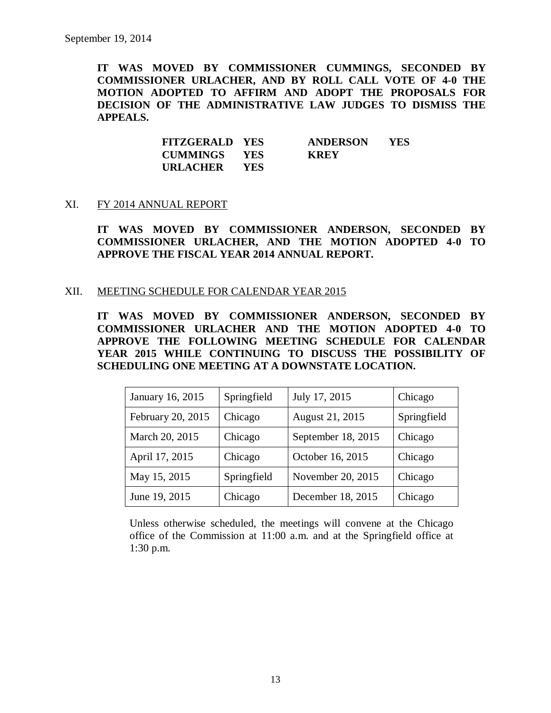**IT WAS MOVED BY COMMISSIONER CUMMINGS, SECONDED BY COMMISSIONER URLACHER, AND BY ROLL CALL VOTE OF 4-0 THE MOTION ADOPTED TO AFFIRM AND ADOPT THE PROPOSALS FOR DECISION OF THE ADMINISTRATIVE LAW JUDGES TO DISMISS THE APPEALS.**

| <b>FITZGERALD YES</b> |            | <b>ANDERSON</b> | YES |
|-----------------------|------------|-----------------|-----|
| <b>CUMMINGS YES</b>   |            | <b>KREY</b>     |     |
| <b>URLACHER</b>       | <b>YES</b> |                 |     |

#### XI. FY 2014 ANNUAL REPORT

**IT WAS MOVED BY COMMISSIONER ANDERSON, SECONDED BY COMMISSIONER URLACHER, AND THE MOTION ADOPTED 4-0 TO APPROVE THE FISCAL YEAR 2014 ANNUAL REPORT.**

#### XII. MEETING SCHEDULE FOR CALENDAR YEAR 2015

**IT WAS MOVED BY COMMISSIONER ANDERSON, SECONDED BY COMMISSIONER URLACHER AND THE MOTION ADOPTED 4-0 TO APPROVE THE FOLLOWING MEETING SCHEDULE FOR CALENDAR YEAR 2015 WHILE CONTINUING TO DISCUSS THE POSSIBILITY OF SCHEDULING ONE MEETING AT A DOWNSTATE LOCATION.**

| January 16, 2015  | Springfield | July 17, 2015      | Chicago     |
|-------------------|-------------|--------------------|-------------|
| February 20, 2015 | Chicago     | August 21, 2015    | Springfield |
| March 20, 2015    | Chicago     | September 18, 2015 | Chicago     |
| April 17, 2015    | Chicago     | October 16, 2015   | Chicago     |
| May 15, 2015      | Springfield | November 20, 2015  | Chicago     |
| June 19, 2015     | Chicago     | December 18, 2015  | Chicago     |

Unless otherwise scheduled, the meetings will convene at the Chicago office of the Commission at 11:00 a.m. and at the Springfield office at 1:30 p.m.